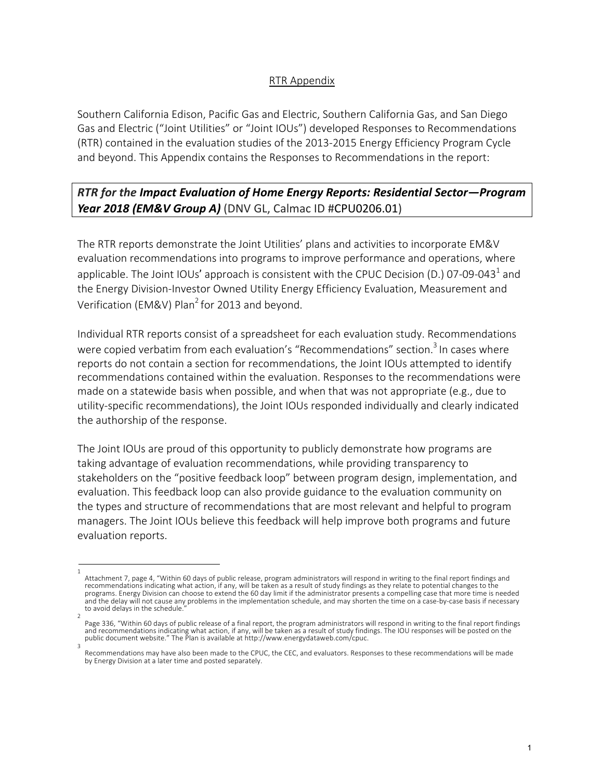## RTR Appendix

Southern California Edison, Pacific Gas and Electric, Southern California Gas, and San Diego Gas and Electric ("Joint Utilities" or "Joint IOUs") developed Responses to Recommendations (RTR) contained in the evaluation studies of the 2013-2015 Energy Efficiency Program Cycle and beyond. This Appendix contains the Responses to Recommendations in the report:

## *RTR for the Impact Evaluation of Home Energy Reports: Residential Sector—Program Year 2018 (EM&V Group A)* (DNV GL, Calmac ID #CPU0206.01)

The RTR reports demonstrate the Joint Utilities' plans and activities to incorporate EM&V evaluation recommendations into programs to improve performance and operations, where applicable. The Joint IOUs' approach is consistent with the CPUC Decision (D.) 07-09-043<sup>1</sup> and the Energy Division-Investor Owned Utility Energy Efficiency Evaluation, Measurement and Verification (EM&V) Plan<sup>2</sup> for 2013 and beyond.

Individual RTR reports consist of a spreadsheet for each evaluation study. Recommendations were copied verbatim from each evaluation's "Recommendations" section.<sup>3</sup> In cases where reports do not contain a section for recommendations, the Joint IOUs attempted to identify recommendations contained within the evaluation. Responses to the recommendations were made on a statewide basis when possible, and when that was not appropriate (e.g., due to utility-specific recommendations), the Joint IOUs responded individually and clearly indicated the authorship of the response.

The Joint IOUs are proud of this opportunity to publicly demonstrate how programs are taking advantage of evaluation recommendations, while providing transparency to stakeholders on the "positive feedback loop" between program design, implementation, and evaluation. This feedback loop can also provide guidance to the evaluation community on the types and structure of recommendations that are most relevant and helpful to program managers. The Joint IOUs believe this feedback will help improve both programs and future evaluation reports.

<sup>1</sup> Attachment 7, page 4, "Within 60 days of public release, program administrators will respond in writing to the final report findings and recommendations indicating what action, if any, will be taken as a result of study findings as they relate to potential changes to the programs. Energy Division can choose to extend the 60 day limit if the administrator presents a compelling case that more time is needed and the delay will not cause any problems in the implementation schedule, and may shorten the time on a case-by-case basis if necessary to avoid delays in the schedule.

<sup>2</sup> Page 336, "Within 60 days of public release of a final report, the program administrators will respond in writing to the final report findings and recommendations indicating what action, if any, will be taken as a result of study findings. The IOU responses will be posted on the public document website." The Plan is available at http://www.energydataweb.com/cpuc. 3

Recommendations may have also been made to the CPUC, the CEC, and evaluators. Responses to these recommendations will be made by Energy Division at a later time and posted separately.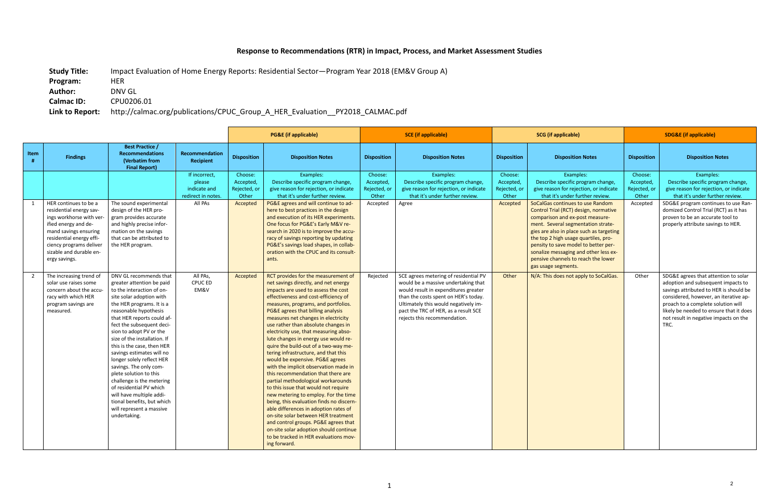## **Response to Recommendations (RTR) in Impact, Process, and Market Assessment Studies**

**Study Title:** Impact Evaluation of Home Energy Reports: Residential Sector—Program Year 2018 (EM&V Group A)

**Program:** HER

**Author:** DNV GL **Calmac ID:** CPU0206.01

## **Link to Report:** http://calmac.org/publications/CPUC\_Group\_A\_HER\_Evaluation\_\_PY2018\_CALMAC.pdf

|                |                                                                                                                                                                                                                                 |                                                                                                                                                                                                                                                                                                                                                                                                                                                                                                                                                                                                    | <b>PG&amp;E</b> (if applicable)                               |                                               | <b>SCE</b> (if applicable)                                                                                                                                                                                                                                                                                                                                                                                                                                                                                                                                                                                                                                                                                                                                                                                                                                                                                                                                                                           |                                               | <b>SCG</b> (if applicable)                                                                                                                                                                                                                                                   |                                               | <b>SDG&amp;E</b> (if applicable)                                                                                                                                                                                                                                                                                                                                                      |                                               |                                                                                                                                                                                                                                                                                                 |
|----------------|---------------------------------------------------------------------------------------------------------------------------------------------------------------------------------------------------------------------------------|----------------------------------------------------------------------------------------------------------------------------------------------------------------------------------------------------------------------------------------------------------------------------------------------------------------------------------------------------------------------------------------------------------------------------------------------------------------------------------------------------------------------------------------------------------------------------------------------------|---------------------------------------------------------------|-----------------------------------------------|------------------------------------------------------------------------------------------------------------------------------------------------------------------------------------------------------------------------------------------------------------------------------------------------------------------------------------------------------------------------------------------------------------------------------------------------------------------------------------------------------------------------------------------------------------------------------------------------------------------------------------------------------------------------------------------------------------------------------------------------------------------------------------------------------------------------------------------------------------------------------------------------------------------------------------------------------------------------------------------------------|-----------------------------------------------|------------------------------------------------------------------------------------------------------------------------------------------------------------------------------------------------------------------------------------------------------------------------------|-----------------------------------------------|---------------------------------------------------------------------------------------------------------------------------------------------------------------------------------------------------------------------------------------------------------------------------------------------------------------------------------------------------------------------------------------|-----------------------------------------------|-------------------------------------------------------------------------------------------------------------------------------------------------------------------------------------------------------------------------------------------------------------------------------------------------|
| Item           | <b>Findings</b>                                                                                                                                                                                                                 | <b>Best Practice /</b><br><b>Recommendations</b><br>(Verbatim from<br><b>Final Report)</b>                                                                                                                                                                                                                                                                                                                                                                                                                                                                                                         | <b>Recommendation</b><br>Recipient                            | <b>Disposition</b>                            | <b>Disposition Notes</b>                                                                                                                                                                                                                                                                                                                                                                                                                                                                                                                                                                                                                                                                                                                                                                                                                                                                                                                                                                             | <b>Disposition</b>                            | <b>Disposition Notes</b>                                                                                                                                                                                                                                                     | <b>Disposition</b>                            | <b>Disposition Notes</b>                                                                                                                                                                                                                                                                                                                                                              | <b>Disposition</b>                            | <b>Disposition Notes</b>                                                                                                                                                                                                                                                                        |
|                |                                                                                                                                                                                                                                 |                                                                                                                                                                                                                                                                                                                                                                                                                                                                                                                                                                                                    | If incorrect,<br>please<br>indicate and<br>redirect in notes. | Choose:<br>Accepted,<br>Rejected, or<br>Other | Examples:<br>Describe specific program change,<br>give reason for rejection, or indicate<br>that it's under further review.                                                                                                                                                                                                                                                                                                                                                                                                                                                                                                                                                                                                                                                                                                                                                                                                                                                                          | Choose:<br>Accepted,<br>Rejected, or<br>Other | Examples:<br>Describe specific program change,<br>give reason for rejection, or indicate<br>that it's under further review.                                                                                                                                                  | Choose:<br>Accepted,<br>Rejected, or<br>Other | Examples:<br>Describe specific program change,<br>give reason for rejection, or indicate<br>that it's under further review.                                                                                                                                                                                                                                                           | Choose:<br>Accepted,<br>Rejected, or<br>Other | Examples:<br>Describe specific program change,<br>give reason for rejection, or indicate<br>that it's under further review.                                                                                                                                                                     |
|                | HER continues to be a<br>residential energy sav-<br>ings workhorse with ver<br>ified energy and de-<br>mand savings ensuring<br>residential energy effi-<br>ciency programs deliver<br>sizable and durable en-<br>ergy savings. | The sound experimental<br>design of the HER pro-<br>gram provides accurate<br>and highly precise infor-<br>mation on the savings<br>that can be attributed to<br>the HER program.                                                                                                                                                                                                                                                                                                                                                                                                                  | All PAs                                                       | Accepted                                      | PG&E agrees and will continue to ad-<br>here to best practices in the design<br>and execution of its HER experiments.<br>One focus for PG&E's Early M&V re-<br>search in 2020 is to improve the accu-<br>racy of savings reporting by updating<br>PG&E's savings load shapes, in collab-<br>oration with the CPUC and its consult-<br>ants.                                                                                                                                                                                                                                                                                                                                                                                                                                                                                                                                                                                                                                                          | Accepted                                      | Agree                                                                                                                                                                                                                                                                        | Accepted                                      | SoCalGas continues to use Random<br>Control Trial (RCT) design, normative<br>comparison and ex-post measure-<br>ment. Several segmentation strate-<br>gies are also in place such as targeting<br>the top 2 high usage quartiles, pro-<br>pensity to save model to better per-<br>sonalize messaging and other less ex-<br>pensive channels to reach the lower<br>gas usage segments. | Accepted                                      | SDG&E program continues to use Ran-<br>domized Control Trial (RCT) as it has<br>proven to be an accurate tool to<br>properly attribute savings to HER.                                                                                                                                          |
| $\overline{2}$ | The increasing trend of<br>solar use raises some<br>concern about the accu<br>racy with which HER<br>program savings are<br>measured.                                                                                           | DNV GL recommends that<br>greater attention be paid<br>to the interaction of on-<br>site solar adoption with<br>the HER programs. It is a<br>reasonable hypothesis<br>that HER reports could af-<br>fect the subsequent deci-<br>sion to adopt PV or the<br>size of the installation. If<br>this is the case, then HER<br>savings estimates will no<br>longer solely reflect HER<br>savings. The only com-<br>plete solution to this<br>challenge is the metering<br>of residential PV which<br>will have multiple addi-<br>tional benefits, but which<br>will represent a massive<br>undertaking. | All PAs.<br>CPUC ED<br>EM&V                                   | Accepted                                      | RCT provides for the measurement of<br>net savings directly, and net energy<br>impacts are used to assess the cost<br>effectiveness and cost-efficiency of<br>measures, programs, and portfolios.<br>PG&E agrees that billing analysis<br>measures net changes in electricity<br>use rather than absolute changes in<br>electricity use, that measuring abso-<br>lute changes in energy use would re-<br>quire the build-out of a two-way me-<br>tering infrastructure, and that this<br>would be expensive. PG&E agrees<br>with the implicit observation made in<br>this recommendation that there are<br>partial methodological workarounds<br>to this issue that would not require<br>new metering to employ. For the time<br>being, this evaluation finds no discern-<br>able differences in adoption rates of<br>on-site solar between HER treatment<br>and control groups. PG&E agrees that<br>on-site solar adoption should continue<br>to be tracked in HER evaluations mov-<br>ing forward. | Rejected                                      | SCE agrees metering of residential PV<br>would be a massive undertaking that<br>would result in expenditures greater<br>than the costs spent on HER's today.<br>Ultimately this would negatively im-<br>pact the TRC of HER, as a result SCE<br>rejects this recommendation. | Other                                         | N/A: This does not apply to SoCalGas.                                                                                                                                                                                                                                                                                                                                                 | Other                                         | SDG&E agrees that attention to solar<br>adoption and subsequent impacts to<br>savings attributed to HER is should be<br>considered, however, an iterative ap-<br>proach to a complete solution will<br>likely be needed to ensure that it does<br>not result in negative impacts on the<br>TRC. |